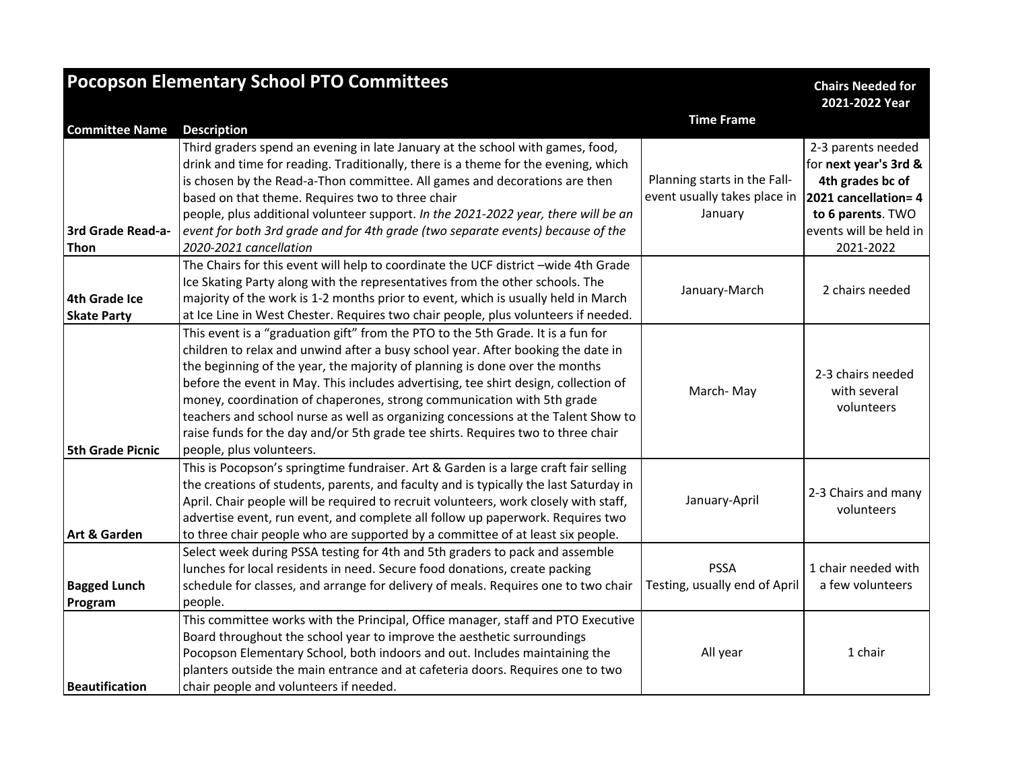| <b>Pocopson Elementary School PTO Committees</b> |                                                                                                                                                                                                                                                                                                                                                                                                                                                                                                                                                                                                                           |                                                                         | <b>Chairs Needed for</b><br>2021-2022 Year                                                                                                          |
|--------------------------------------------------|---------------------------------------------------------------------------------------------------------------------------------------------------------------------------------------------------------------------------------------------------------------------------------------------------------------------------------------------------------------------------------------------------------------------------------------------------------------------------------------------------------------------------------------------------------------------------------------------------------------------------|-------------------------------------------------------------------------|-----------------------------------------------------------------------------------------------------------------------------------------------------|
| <b>Committee Name</b>                            | <b>Description</b>                                                                                                                                                                                                                                                                                                                                                                                                                                                                                                                                                                                                        | <b>Time Frame</b>                                                       |                                                                                                                                                     |
| 3rd Grade Read-a-<br><b>Thon</b>                 | Third graders spend an evening in late January at the school with games, food,<br>drink and time for reading. Traditionally, there is a theme for the evening, which<br>is chosen by the Read-a-Thon committee. All games and decorations are then<br>based on that theme. Requires two to three chair<br>people, plus additional volunteer support. In the 2021-2022 year, there will be an<br>event for both 3rd grade and for 4th grade (two separate events) because of the<br>2020-2021 cancellation                                                                                                                 | Planning starts in the Fall-<br>event usually takes place in<br>January | 2-3 parents needed<br>for next year's 3rd &<br>4th grades bc of<br>2021 cancellation= 4<br>to 6 parents. TWO<br>events will be held in<br>2021-2022 |
| <b>4th Grade Ice</b><br><b>Skate Party</b>       | The Chairs for this event will help to coordinate the UCF district -wide 4th Grade<br>Ice Skating Party along with the representatives from the other schools. The<br>majority of the work is 1-2 months prior to event, which is usually held in March<br>at Ice Line in West Chester. Requires two chair people, plus volunteers if needed.                                                                                                                                                                                                                                                                             | January-March                                                           | 2 chairs needed                                                                                                                                     |
| <b>5th Grade Picnic</b>                          | This event is a "graduation gift" from the PTO to the 5th Grade. It is a fun for<br>children to relax and unwind after a busy school year. After booking the date in<br>the beginning of the year, the majority of planning is done over the months<br>before the event in May. This includes advertising, tee shirt design, collection of<br>money, coordination of chaperones, strong communication with 5th grade<br>teachers and school nurse as well as organizing concessions at the Talent Show to<br>raise funds for the day and/or 5th grade tee shirts. Requires two to three chair<br>people, plus volunteers. | March-May                                                               | 2-3 chairs needed<br>with several<br>volunteers                                                                                                     |
| Art & Garden                                     | This is Pocopson's springtime fundraiser. Art & Garden is a large craft fair selling<br>the creations of students, parents, and faculty and is typically the last Saturday in<br>April. Chair people will be required to recruit volunteers, work closely with staff,<br>advertise event, run event, and complete all follow up paperwork. Requires two<br>to three chair people who are supported by a committee of at least six people.                                                                                                                                                                                 | January-April                                                           | 2-3 Chairs and many<br>volunteers                                                                                                                   |
| <b>Bagged Lunch</b><br>Program                   | Select week during PSSA testing for 4th and 5th graders to pack and assemble<br>lunches for local residents in need. Secure food donations, create packing<br>schedule for classes, and arrange for delivery of meals. Requires one to two chair<br>people.                                                                                                                                                                                                                                                                                                                                                               | <b>PSSA</b><br>Testing, usually end of April                            | 1 chair needed with<br>a few volunteers                                                                                                             |
| <b>Beautification</b>                            | This committee works with the Principal, Office manager, staff and PTO Executive<br>Board throughout the school year to improve the aesthetic surroundings<br>Pocopson Elementary School, both indoors and out. Includes maintaining the<br>planters outside the main entrance and at cafeteria doors. Requires one to two<br>chair people and volunteers if needed.                                                                                                                                                                                                                                                      | All year                                                                | 1 chair                                                                                                                                             |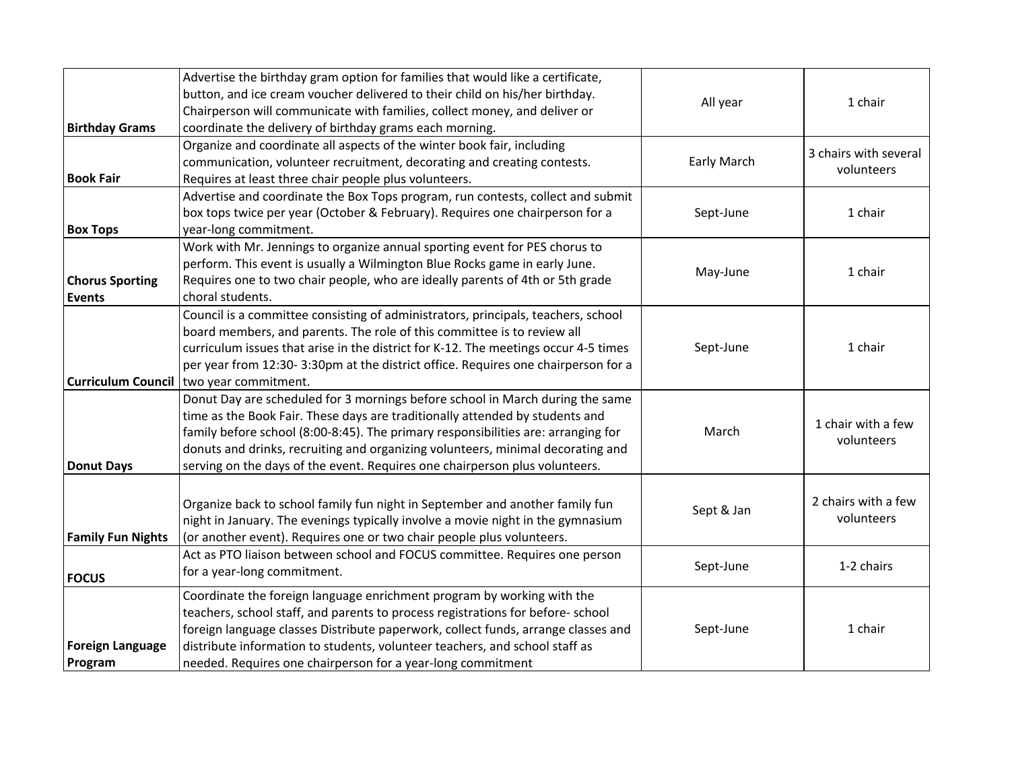| <b>Birthday Grams</b>                   | Advertise the birthday gram option for families that would like a certificate,<br>button, and ice cream voucher delivered to their child on his/her birthday.<br>Chairperson will communicate with families, collect money, and deliver or<br>coordinate the delivery of birthday grams each morning.                                                                                                                | All year    | 1 chair                             |
|-----------------------------------------|----------------------------------------------------------------------------------------------------------------------------------------------------------------------------------------------------------------------------------------------------------------------------------------------------------------------------------------------------------------------------------------------------------------------|-------------|-------------------------------------|
| <b>Book Fair</b>                        | Organize and coordinate all aspects of the winter book fair, including<br>communication, volunteer recruitment, decorating and creating contests.<br>Requires at least three chair people plus volunteers.                                                                                                                                                                                                           | Early March | 3 chairs with several<br>volunteers |
| <b>Box Tops</b>                         | Advertise and coordinate the Box Tops program, run contests, collect and submit<br>box tops twice per year (October & February). Requires one chairperson for a<br>year-long commitment.                                                                                                                                                                                                                             | Sept-June   | 1 chair                             |
| <b>Chorus Sporting</b><br><b>Events</b> | Work with Mr. Jennings to organize annual sporting event for PES chorus to<br>perform. This event is usually a Wilmington Blue Rocks game in early June.<br>Requires one to two chair people, who are ideally parents of 4th or 5th grade<br>choral students.                                                                                                                                                        | May-June    | 1 chair                             |
| Curriculum Council                      | Council is a committee consisting of administrators, principals, teachers, school<br>board members, and parents. The role of this committee is to review all<br>curriculum issues that arise in the district for K-12. The meetings occur 4-5 times<br>per year from 12:30-3:30pm at the district office. Requires one chairperson for a<br>two year commitment.                                                     | Sept-June   | 1 chair                             |
| <b>Donut Days</b>                       | Donut Day are scheduled for 3 mornings before school in March during the same<br>time as the Book Fair. These days are traditionally attended by students and<br>family before school (8:00-8:45). The primary responsibilities are: arranging for<br>donuts and drinks, recruiting and organizing volunteers, minimal decorating and<br>serving on the days of the event. Requires one chairperson plus volunteers. | March       | 1 chair with a few<br>volunteers    |
| <b>Family Fun Nights</b>                | Organize back to school family fun night in September and another family fun<br>night in January. The evenings typically involve a movie night in the gymnasium<br>(or another event). Requires one or two chair people plus volunteers.                                                                                                                                                                             | Sept & Jan  | 2 chairs with a few<br>volunteers   |
| <b>FOCUS</b>                            | Act as PTO liaison between school and FOCUS committee. Requires one person<br>for a year-long commitment.                                                                                                                                                                                                                                                                                                            | Sept-June   | 1-2 chairs                          |
| <b>Foreign Language</b><br>Program      | Coordinate the foreign language enrichment program by working with the<br>teachers, school staff, and parents to process registrations for before-school<br>foreign language classes Distribute paperwork, collect funds, arrange classes and<br>distribute information to students, volunteer teachers, and school staff as<br>needed. Requires one chairperson for a year-long commitment                          | Sept-June   | 1 chair                             |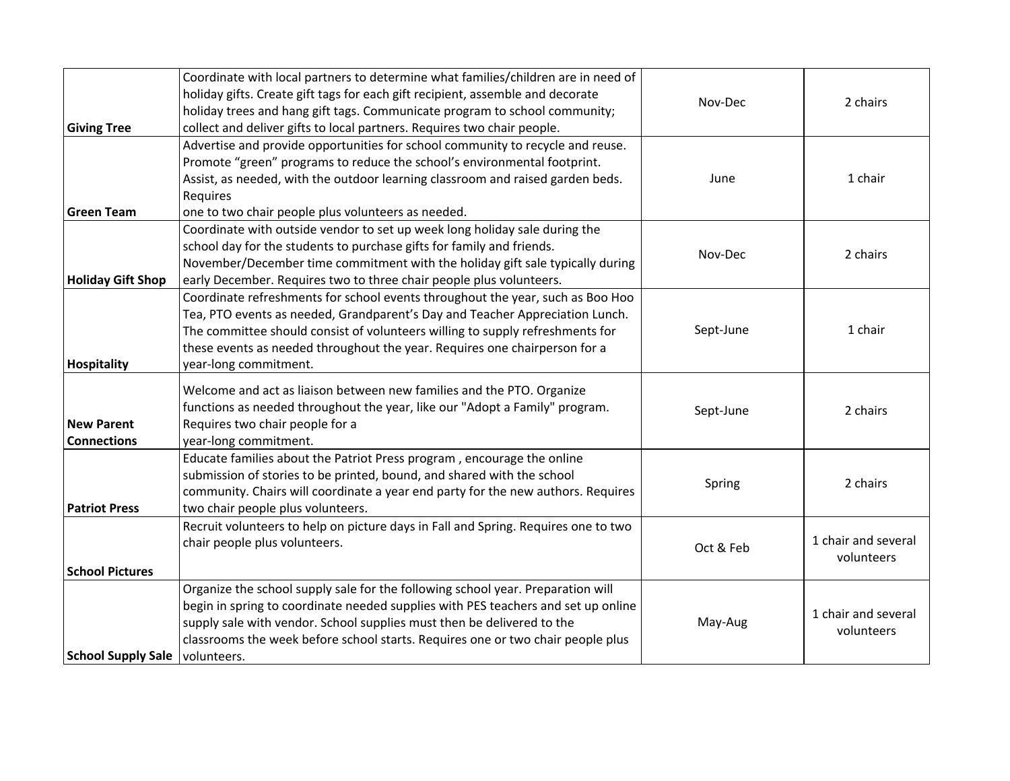| <b>Giving Tree</b>                      | Coordinate with local partners to determine what families/children are in need of<br>holiday gifts. Create gift tags for each gift recipient, assemble and decorate<br>holiday trees and hang gift tags. Communicate program to school community;<br>collect and deliver gifts to local partners. Requires two chair people.                           | Nov-Dec   | 2 chairs                          |
|-----------------------------------------|--------------------------------------------------------------------------------------------------------------------------------------------------------------------------------------------------------------------------------------------------------------------------------------------------------------------------------------------------------|-----------|-----------------------------------|
| <b>Green Team</b>                       | Advertise and provide opportunities for school community to recycle and reuse.<br>Promote "green" programs to reduce the school's environmental footprint.<br>Assist, as needed, with the outdoor learning classroom and raised garden beds.<br>Requires<br>one to two chair people plus volunteers as needed.                                         | June      | 1 chair                           |
| <b>Holiday Gift Shop</b>                | Coordinate with outside vendor to set up week long holiday sale during the<br>school day for the students to purchase gifts for family and friends.<br>November/December time commitment with the holiday gift sale typically during<br>early December. Requires two to three chair people plus volunteers.                                            | Nov-Dec   | 2 chairs                          |
| Hospitality                             | Coordinate refreshments for school events throughout the year, such as Boo Hoo<br>Tea, PTO events as needed, Grandparent's Day and Teacher Appreciation Lunch.<br>The committee should consist of volunteers willing to supply refreshments for<br>these events as needed throughout the year. Requires one chairperson for a<br>year-long commitment. | Sept-June | 1 chair                           |
| <b>New Parent</b><br><b>Connections</b> | Welcome and act as liaison between new families and the PTO. Organize<br>functions as needed throughout the year, like our "Adopt a Family" program.<br>Requires two chair people for a<br>year-long commitment.                                                                                                                                       | Sept-June | 2 chairs                          |
| <b>Patriot Press</b>                    | Educate families about the Patriot Press program, encourage the online<br>submission of stories to be printed, bound, and shared with the school<br>community. Chairs will coordinate a year end party for the new authors. Requires<br>two chair people plus volunteers.                                                                              | Spring    | 2 chairs                          |
| <b>School Pictures</b>                  | Recruit volunteers to help on picture days in Fall and Spring. Requires one to two<br>chair people plus volunteers.                                                                                                                                                                                                                                    | Oct & Feb | 1 chair and several<br>volunteers |
| <b>School Supply Sale</b>               | Organize the school supply sale for the following school year. Preparation will<br>begin in spring to coordinate needed supplies with PES teachers and set up online<br>supply sale with vendor. School supplies must then be delivered to the<br>classrooms the week before school starts. Requires one or two chair people plus<br>volunteers.       | May-Aug   | 1 chair and several<br>volunteers |